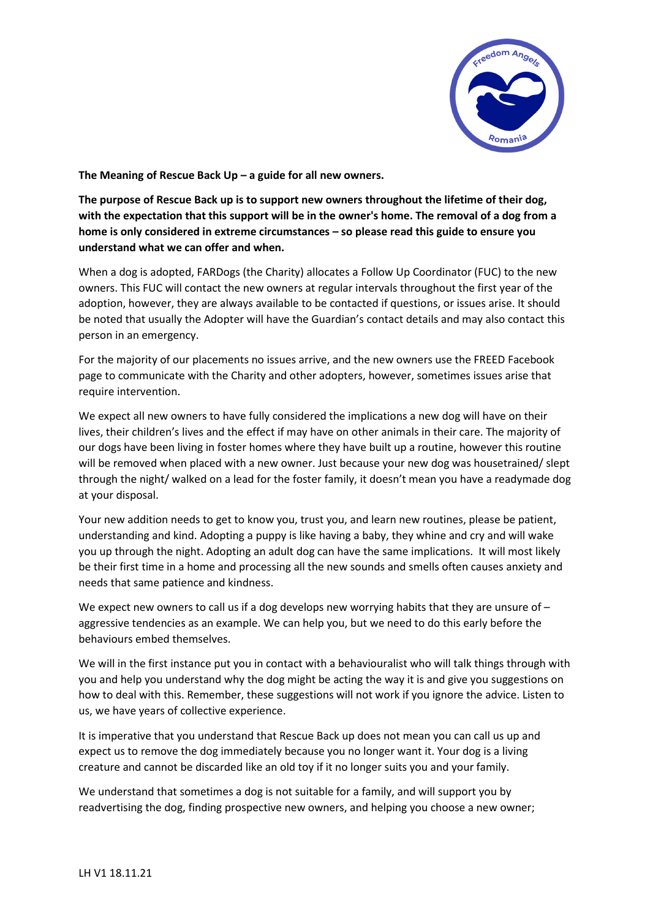

**The Meaning of Rescue Back Up – a guide for all new owners.**

**The purpose of Rescue Back up is to support new owners throughout the lifetime of their dog, with the expectation that this support will be in the owner's home. The removal of a dog from a home is only considered in extreme circumstances – so please read this guide to ensure you understand what we can offer and when.**

When a dog is adopted, FARDogs (the Charity) allocates a Follow Up Coordinator (FUC) to the new owners. This FUC will contact the new owners at regular intervals throughout the first year of the adoption, however, they are always available to be contacted if questions, or issues arise. It should be noted that usually the Adopter will have the Guardian's contact details and may also contact this person in an emergency.

For the majority of our placements no issues arrive, and the new owners use the FREED Facebook page to communicate with the Charity and other adopters, however, sometimes issues arise that require intervention.

We expect all new owners to have fully considered the implications a new dog will have on their lives, their children's lives and the effect if may have on other animals in their care. The majority of our dogs have been living in foster homes where they have built up a routine, however this routine will be removed when placed with a new owner. Just because your new dog was housetrained/ slept through the night/ walked on a lead for the foster family, it doesn't mean you have a readymade dog at your disposal.

Your new addition needs to get to know you, trust you, and learn new routines, please be patient, understanding and kind. Adopting a puppy is like having a baby, they whine and cry and will wake you up through the night. Adopting an adult dog can have the same implications. It will most likely be their first time in a home and processing all the new sounds and smells often causes anxiety and needs that same patience and kindness.

We expect new owners to call us if a dog develops new worrying habits that they are unsure of  $$ aggressive tendencies as an example. We can help you, but we need to do this early before the behaviours embed themselves.

We will in the first instance put you in contact with a behaviouralist who will talk things through with you and help you understand why the dog might be acting the way it is and give you suggestions on how to deal with this. Remember, these suggestions will not work if you ignore the advice. Listen to us, we have years of collective experience.

It is imperative that you understand that Rescue Back up does not mean you can call us up and expect us to remove the dog immediately because you no longer want it. Your dog is a living creature and cannot be discarded like an old toy if it no longer suits you and your family.

We understand that sometimes a dog is not suitable for a family, and will support you by readvertising the dog, finding prospective new owners, and helping you choose a new owner;